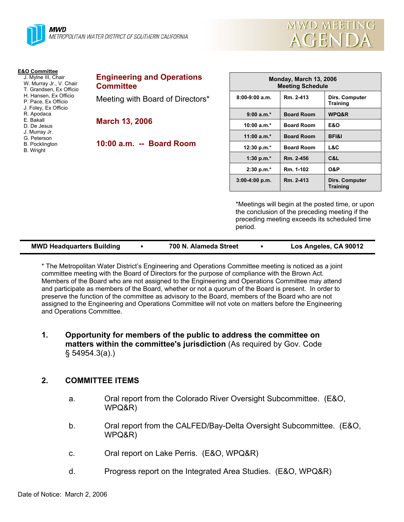

| <b>E&amp;O Committee</b><br>J. Mylne III, Chair<br>W. Murray Jr., V. Chair<br>T. Grandsen, Ex Officio<br>H. Hansen, Ex Officio<br>P. Pace, Ex Officio<br>J. Foley, Ex Officio<br>R. Apodaca<br>E. Bakall<br>D. De Jesus<br>J. Murray Jr.<br>G. Peterson<br><b>B.</b> Pocklington<br>B. Wright | <b>Engineering and Operations</b><br><b>Committee</b> | Monday, March 13, 2006<br><b>Meeting Schedule</b> |                   |                                          |
|-----------------------------------------------------------------------------------------------------------------------------------------------------------------------------------------------------------------------------------------------------------------------------------------------|-------------------------------------------------------|---------------------------------------------------|-------------------|------------------------------------------|
|                                                                                                                                                                                                                                                                                               | Meeting with Board of Directors*                      | $8:00-9:00$ a.m.                                  | Rm. 2-413         | <b>Dirs. Computer</b><br><b>Training</b> |
|                                                                                                                                                                                                                                                                                               | <b>March 13, 2006</b>                                 | $9:00 a.m.*$                                      | <b>Board Room</b> | WPQ&R                                    |
|                                                                                                                                                                                                                                                                                               |                                                       | 10:00 $a.m.*$                                     | <b>Board Room</b> | <b>E&amp;O</b>                           |
|                                                                                                                                                                                                                                                                                               | 10:00 a.m. -- Board Room                              | 11:00 $a.m.*$                                     | <b>Board Room</b> | <b>BFI&amp;I</b>                         |
|                                                                                                                                                                                                                                                                                               |                                                       | 12:30 p.m.*                                       | <b>Board Room</b> | L&C.                                     |
|                                                                                                                                                                                                                                                                                               |                                                       | 1:30 p.m. $*$                                     | Rm. 2-456         | C&L                                      |
|                                                                                                                                                                                                                                                                                               |                                                       | $2:30 p.m.*$                                      | Rm. 1-102         | O&P                                      |
|                                                                                                                                                                                                                                                                                               |                                                       | $3:00-4:00 p.m.$                                  | Rm. 2-413         | Dirs. Computer<br>Training               |

\*Meetings will begin at the posted time, or upon the conclusion of the preceding meeting if the preceding meeting exceeds its scheduled time period.

MWD MEETING

**AGENDA** 

| <b>MWD Headquarters Building</b> | 700 N. Alameda Street | Los Angeles, CA 90012 |
|----------------------------------|-----------------------|-----------------------|
|                                  |                       |                       |

\* The Metropolitan Water District's Engineering and Operations Committee meeting is noticed as a joint committee meeting with the Board of Directors for the purpose of compliance with the Brown Act. Members of the Board who are not assigned to the Engineering and Operations Committee may attend and participate as members of the Board, whether or not a quorum of the Board is present. In order to preserve the function of the committee as advisory to the Board, members of the Board who are not assigned to the Engineering and Operations Committee will not vote on matters before the Engineering and Operations Committee.

## **1. Opportunity for members of the public to address the committee on matters within the committee's jurisdiction** (As required by Gov. Code § 54954.3(a).)

## **2. COMMITTEE ITEMS**

- a. Oral report from the Colorado River Oversight Subcommittee. (E&O, WPQ&R)
- b. Oral report from the CALFED/Bay-Delta Oversight Subcommittee. (E&O, WPQ&R)
- c. Oral report on Lake Perris. (E&O, WPQ&R)
- d. Progress report on the Integrated Area Studies. (E&O, WPQ&R)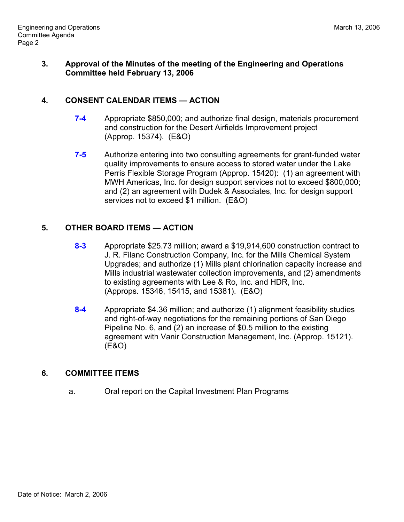## **3. Approval of the Minutes of the meeting of the Engineering and Operations Committee held February 13, 2006**

## **4. CONSENT CALENDAR ITEMS — ACTION**

- **7-4** Appropriate \$850,000; and authorize final design, materials procurement and construction for the Desert Airfields Improvement project (Approp. 15374). (E&O)
- **7-5** Authorize entering into two consulting agreements for grant-funded water quality improvements to ensure access to stored water under the Lake Perris Flexible Storage Program (Approp. 15420): (1) an agreement with MWH Americas, Inc. for design support services not to exceed \$800,000; and (2) an agreement with Dudek & Associates, Inc. for design support services not to exceed \$1 million. (E&O)

# **5. OTHER BOARD ITEMS — ACTION**

- **8-3** Appropriate \$25.73 million; award a \$19,914,600 construction contract to J. R. Filanc Construction Company, Inc. for the Mills Chemical System Upgrades; and authorize (1) Mills plant chlorination capacity increase and Mills industrial wastewater collection improvements, and (2) amendments to existing agreements with Lee & Ro, Inc. and HDR, Inc. (Approps. 15346, 15415, and 15381). (E&O)
- **8-4** Appropriate \$4.36 million; and authorize (1) alignment feasibility studies and right-of-way negotiations for the remaining portions of San Diego Pipeline No. 6, and (2) an increase of \$0.5 million to the existing agreement with Vanir Construction Management, Inc. (Approp. 15121). (E&O)

# **6. COMMITTEE ITEMS**

a. Oral report on the Capital Investment Plan Programs